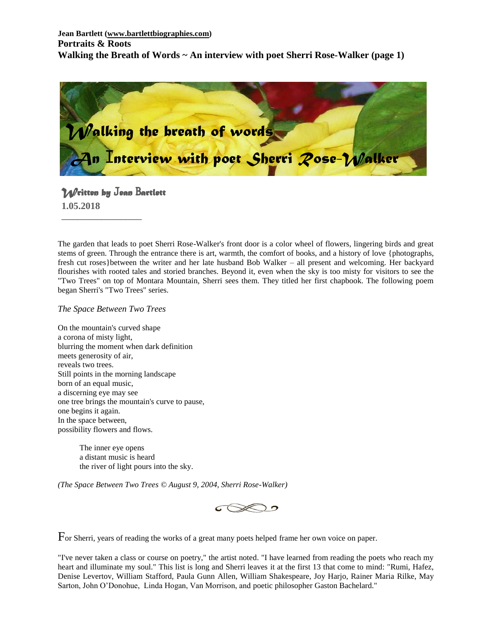

# *Written by* J*ean* B*artlett*

\_\_\_\_\_\_\_\_\_\_\_\_\_\_\_\_\_\_\_\_

**1.05.2018**

The garden that leads to poet Sherri Rose-Walker's front door is a color wheel of flowers, lingering birds and great stems of green. Through the entrance there is art, warmth, the comfort of books, and a history of love {photographs, fresh cut roses}between the writer and her late husband Bob Walker – all present and welcoming. Her backyard flourishes with rooted tales and storied branches. Beyond it, even when the sky is too misty for visitors to see the "Two Trees" on top of Montara Mountain, Sherri sees them. They titled her first chapbook. The following poem began Sherri's "Two Trees" series.

*The Space Between Two Trees*

On the mountain's curved shape a corona of misty light, blurring the moment when dark definition meets generosity of air, reveals two trees. Still points in the morning landscape born of an equal music, a discerning eye may see one tree brings the mountain's curve to pause, one begins it again. In the space between, possibility flowers and flows.

> The inner eye opens a distant music is heard the river of light pours into the sky.

*(The Space Between Two Trees © August 9, 2004, Sherri Rose-Walker)*



For Sherri, years of reading the works of a great many poets helped frame her own voice on paper.

"I've never taken a class or course on poetry," the artist noted. "I have learned from reading the poets who reach my heart and illuminate my soul." This list is long and Sherri leaves it at the first 13 that come to mind: "Rumi, Hafez, Denise Levertov, William Stafford, Paula Gunn Allen, William Shakespeare, Joy Harjo, Rainer Maria Rilke, May Sarton, John O'Donohue, Linda Hogan, Van Morrison, and poetic philosopher Gaston Bachelard."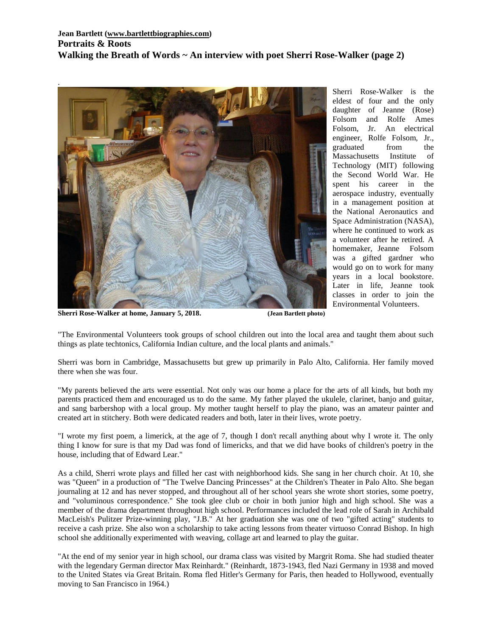

Sherri Rose-Walker is the eldest of four and the only daughter of Jeanne (Rose) Folsom and Rolfe Ames Folsom, Jr. An electrical engineer, Rolfe Folsom, Jr., graduated from the Massachusetts Institute of Technology (MIT) following the Second World War. He spent his career in the aerospace industry, eventually in a management position at the National Aeronautics and Space Administration (NASA), where he continued to work as a volunteer after he retired. A homemaker, Jeanne Folsom was a gifted gardner who would go on to work for many years in a local bookstore. Later in life, Jeanne took classes in order to join the Environmental Volunteers.

**Sherri Rose-Walker at home, January 5, 2018. (Jean Bartlett photo)**

.

"The Environmental Volunteers took groups of school children out into the local area and taught them about such things as plate techtonics, California Indian culture, and the local plants and animals."

Sherri was born in Cambridge, Massachusetts but grew up primarily in Palo Alto, California. Her family moved there when she was four.

"My parents believed the arts were essential. Not only was our home a place for the arts of all kinds, but both my parents practiced them and encouraged us to do the same. My father played the ukulele, clarinet, banjo and guitar, and sang barbershop with a local group. My mother taught herself to play the piano, was an amateur painter and created art in stitchery. Both were dedicated readers and both, later in their lives, wrote poetry.

"I wrote my first poem, a limerick, at the age of 7, though I don't recall anything about why I wrote it. The only thing I know for sure is that my Dad was fond of limericks, and that we did have books of children's poetry in the house, including that of Edward Lear."

As a child, Sherri wrote plays and filled her cast with neighborhood kids. She sang in her church choir. At 10, she was "Queen" in a production of "The Twelve Dancing Princesses" at the Children's Theater in Palo Alto. She began journaling at 12 and has never stopped, and throughout all of her school years she wrote short stories, some poetry, and "voluminous correspondence." She took glee club or choir in both junior high and high school. She was a member of the drama department throughout high school. Performances included the lead role of Sarah in Archibald MacLeish's Pulitzer Prize-winning play, "J.B." At her graduation she was one of two "gifted acting" students to receive a cash prize. She also won a scholarship to take acting lessons from theater virtuoso Conrad Bishop. In high school she additionally experimented with weaving, collage art and learned to play the guitar.

"At the end of my senior year in high school, our drama class was visited by Margrit Roma. She had studied theater with the legendary German director Max Reinhardt." (Reinhardt, 1873-1943, fled Nazi Germany in 1938 and moved to the United States via Great Britain. Roma fled Hitler's Germany for Paris, then headed to Hollywood, eventually moving to San Francisco in 1964.)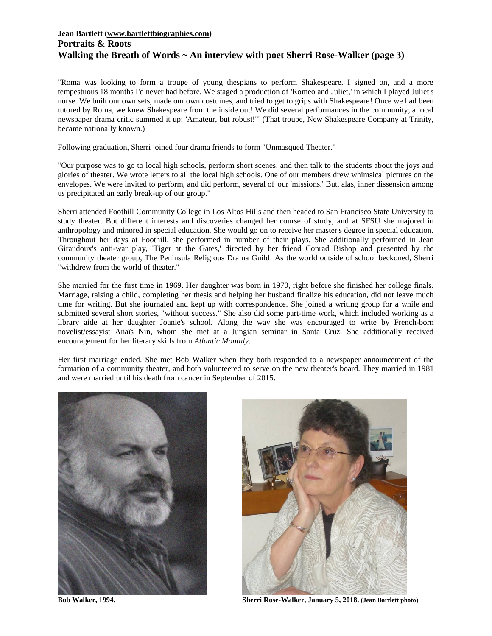#### **Jean Bartlett [\(www.bartlettbiographies.com\)](http://www.bartlettbiographies.com/) Portraits & Roots Walking the Breath of Words ~ An interview with poet Sherri Rose-Walker (page 3)**

"Roma was looking to form a troupe of young thespians to perform Shakespeare. I signed on, and a more tempestuous 18 months I'd never had before. We staged a production of 'Romeo and Juliet,' in which I played Juliet's nurse. We built our own sets, made our own costumes, and tried to get to grips with Shakespeare! Once we had been tutored by Roma, we knew Shakespeare from the inside out! We did several performances in the community; a local newspaper drama critic summed it up: 'Amateur, but robust!'" (That troupe, New Shakespeare Company at Trinity, became nationally known.)

Following graduation, Sherri joined four drama friends to form "Unmasqued Theater."

"Our purpose was to go to local high schools, perform short scenes, and then talk to the students about the joys and glories of theater. We wrote letters to all the local high schools. One of our members drew whimsical pictures on the envelopes. We were invited to perform, and did perform, several of 'our 'missions.' But, alas, inner dissension among us precipitated an early break-up of our group."

Sherri attended Foothill Community College in Los Altos Hills and then headed to San Francisco State University to study theater. But different interests and discoveries changed her course of study, and at SFSU she majored in anthropology and minored in special education. She would go on to receive her master's degree in special education. Throughout her days at Foothill, she performed in number of their plays. She additionally performed in Jean Giraudoux's anti-war play, 'Tiger at the Gates,' directed by her friend Conrad Bishop and presented by the community theater group, The Peninsula Religious Drama Guild. As the world outside of school beckoned, Sherri "withdrew from the world of theater."

She married for the first time in 1969. Her daughter was born in 1970, right before she finished her college finals. Marriage, raising a child, completing her thesis and helping her husband finalize his education, did not leave much time for writing. But she journaled and kept up with correspondence. She joined a writing group for a while and submitted several short stories, "without success." She also did some part-time work, which included working as a library aide at her daughter Joanie's school. Along the way she was encouraged to write by French-born novelist/essayist Anaïs Nin, whom she met at a Jungian seminar in Santa Cruz. She additionally received encouragement for her literary skills from *Atlantic Monthly*.

Her first marriage ended. She met Bob Walker when they both responded to a newspaper announcement of the formation of a community theater, and both volunteered to serve on the new theater's board. They married in 1981 and were married until his death from cancer in September of 2015.





**Bob Walker, 1994. Sherri Rose-Walker, January 5, 2018. (Jean Bartlett photo)**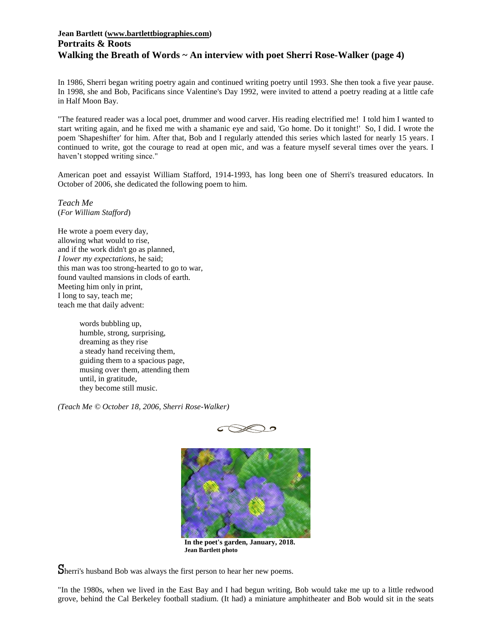#### **Jean Bartlett [\(www.bartlettbiographies.com\)](http://www.bartlettbiographies.com/) Portraits & Roots Walking the Breath of Words ~ An interview with poet Sherri Rose-Walker (page 4)**

In 1986, Sherri began writing poetry again and continued writing poetry until 1993. She then took a five year pause. In 1998, she and Bob, Pacificans since Valentine's Day 1992, were invited to attend a poetry reading at a little cafe in Half Moon Bay.

"The featured reader was a local poet, drummer and wood carver. His reading electrified me! I told him I wanted to start writing again, and he fixed me with a shamanic eye and said, 'Go home. Do it tonight!' So, I did. I wrote the poem 'Shapeshifter' for him. After that, Bob and I regularly attended this series which lasted for nearly 15 years. I continued to write, got the courage to read at open mic, and was a feature myself several times over the years. I haven't stopped writing since."

American poet and essayist William Stafford, 1914-1993, has long been one of Sherri's treasured educators. In October of 2006, she dedicated the following poem to him.

*Teach Me* (*For William Stafford*)

He wrote a poem every day, allowing what would to rise, and if the work didn't go as planned, *I lower my expectations*, he said; this man was too strong-hearted to go to war, found vaulted mansions in clods of earth. Meeting him only in print, I long to say, teach me; teach me that daily advent:

> words bubbling up, humble, strong, surprising, dreaming as they rise a steady hand receiving them, guiding them to a spacious page, musing over them, attending them until, in gratitude, they become still music.

*(Teach Me © October 18, 2006, Sherri Rose-Walker)*





**In the poet's garden, January, 2018. Jean Bartlett photo**

Sherri's husband Bob was always the first person to hear her new poems.

"In the 1980s, when we lived in the East Bay and I had begun writing, Bob would take me up to a little redwood grove, behind the Cal Berkeley football stadium. (It had) a miniature amphitheater and Bob would sit in the seats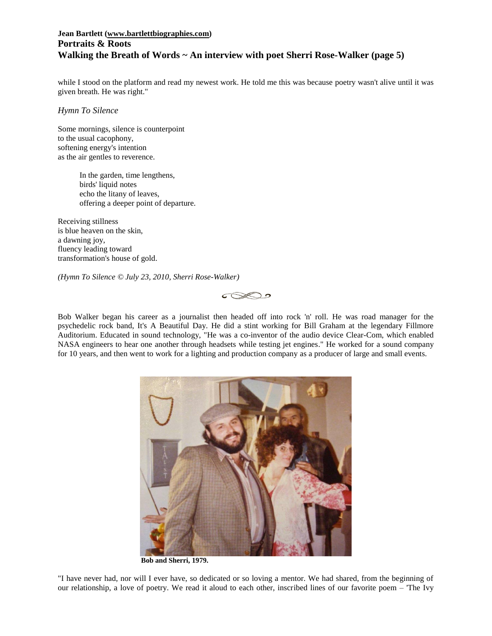## **Jean Bartlett [\(www.bartlettbiographies.com\)](http://www.bartlettbiographies.com/) Portraits & Roots Walking the Breath of Words ~ An interview with poet Sherri Rose-Walker (page 5)**

while I stood on the platform and read my newest work. He told me this was because poetry wasn't alive until it was given breath. He was right."

*Hymn To Silence*

Some mornings, silence is counterpoint to the usual cacophony, softening energy's intention as the air gentles to reverence.

> In the garden, time lengthens, birds' liquid notes echo the litany of leaves, offering a deeper point of departure.

Receiving stillness is blue heaven on the skin, a dawning joy, fluency leading toward transformation's house of gold.

*(Hymn To Silence © July 23, 2010, Sherri Rose-Walker)*



Bob Walker began his career as a journalist then headed off into rock 'n' roll. He was road manager for the psychedelic rock band, It's A Beautiful Day. He did a stint working for Bill Graham at the legendary Fillmore Auditorium. Educated in sound technology, "He was a co-inventor of the audio device Clear-Com, which enabled NASA engineers to hear one another through headsets while testing jet engines." He worked for a sound company for 10 years, and then went to work for a lighting and production company as a producer of large and small events.



**Bob and Sherri, 1979.**

"I have never had, nor will I ever have, so dedicated or so loving a mentor. We had shared, from the beginning of our relationship, a love of poetry. We read it aloud to each other, inscribed lines of our favorite poem – 'The Ivy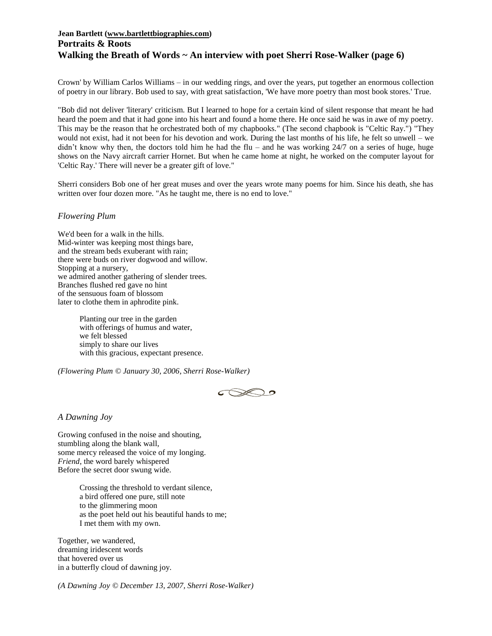#### **Jean Bartlett [\(www.bartlettbiographies.com\)](http://www.bartlettbiographies.com/) Portraits & Roots Walking the Breath of Words ~ An interview with poet Sherri Rose-Walker (page 6)**

Crown' by William Carlos Williams – in our wedding rings, and over the years, put together an enormous collection of poetry in our library. Bob used to say, with great satisfaction, 'We have more poetry than most book stores.' True.

"Bob did not deliver 'literary' criticism. But I learned to hope for a certain kind of silent response that meant he had heard the poem and that it had gone into his heart and found a home there. He once said he was in awe of my poetry. This may be the reason that he orchestrated both of my chapbooks." (The second chapbook is "Celtic Ray.") "They would not exist, had it not been for his devotion and work. During the last months of his life, he felt so unwell – we didn't know why then, the doctors told him he had the flu – and he was working  $24/7$  on a series of huge, huge shows on the Navy aircraft carrier Hornet. But when he came home at night, he worked on the computer layout for 'Celtic Ray.' There will never be a greater gift of love."

Sherri considers Bob one of her great muses and over the years wrote many poems for him. Since his death, she has written over four dozen more. "As he taught me, there is no end to love."

#### *Flowering Plum*

We'd been for a walk in the hills. Mid-winter was keeping most things bare, and the stream beds exuberant with rain; there were buds on river dogwood and willow. Stopping at a nursery, we admired another gathering of slender trees. Branches flushed red gave no hint of the sensuous foam of blossom later to clothe them in aphrodite pink.

> Planting our tree in the garden with offerings of humus and water, we felt blessed simply to share our lives with this gracious, expectant presence.

*(Flowering Plum © January 30, 2006, Sherri Rose-Walker)*



#### *A Dawning Joy*

Growing confused in the noise and shouting, stumbling along the blank wall, some mercy released the voice of my longing. *Friend*, the word barely whispered Before the secret door swung wide.

> Crossing the threshold to verdant silence, a bird offered one pure, still note to the glimmering moon as the poet held out his beautiful hands to me; I met them with my own.

Together, we wandered, dreaming iridescent words that hovered over us in a butterfly cloud of dawning joy.

*(A Dawning Joy © December 13, 2007, Sherri Rose-Walker)*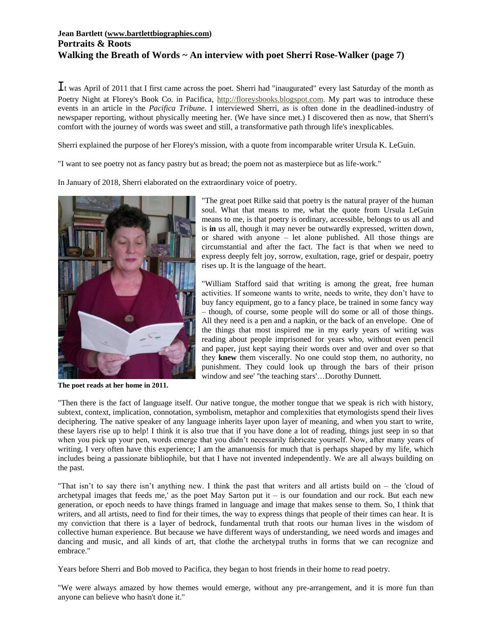## **Jean Bartlett [\(www.bartlettbiographies.com\)](http://www.bartlettbiographies.com/) Portraits & Roots Walking the Breath of Words ~ An interview with poet Sherri Rose-Walker (page 7)**

It was April of 2011 that I first came across the poet. Sherri had "inaugurated" every last Saturday of the month as Poetry Night at Florey's Book Co. in Pacifica, [http://floreysbooks.blogspot.com.](http://floreysbooks.blogspot.com/) My part was to introduce these events in an article in the *Pacifica Tribune*. I interviewed Sherri, as is often done in the deadlined-industry of newspaper reporting, without physically meeting her. (We have since met.) I discovered then as now, that Sherri's comfort with the journey of words was sweet and still, a transformative path through life's inexplicables.

Sherri explained the purpose of her Florey's mission, with a quote from incomparable writer Ursula K. LeGuin.

"I want to see poetry not as fancy pastry but as bread; the poem not as masterpiece but as life-work."

In January of 2018, Sherri elaborated on the extraordinary voice of poetry.



**The poet reads at her home in 2011.**

"The great poet Rilke said that poetry is the natural prayer of the human soul. What that means to me, what the quote from Ursula LeGuin means to me, is that poetry is ordinary, accessible, belongs to us all and is **in** us all, though it may never be outwardly expressed, written down, or shared with anyone – let alone published. All those things are circumstantial and after the fact. The fact is that when we need to express deeply felt joy, sorrow, exultation, rage, grief or despair, poetry rises up. It is the language of the heart.

"William Stafford said that writing is among the great, free human activities. If someone wants to write, needs to write, they don't have to buy fancy equipment, go to a fancy place, be trained in some fancy way – though, of course, some people will do some or all of those things. All they need is a pen and a napkin, or the back of an envelope. One of the things that most inspired me in my early years of writing was reading about people imprisoned for years who, without even pencil and paper, just kept saying their words over and over and over so that they **knew** them viscerally. No one could stop them, no authority, no punishment. They could look up through the bars of their prison window and see' ''the teaching stars'…Dorothy Dunnett.

"Then there is the fact of language itself. Our native tongue, the mother tongue that we speak is rich with history, subtext, context, implication, connotation, symbolism, metaphor and complexities that etymologists spend their lives deciphering. The native speaker of any language inherits layer upon layer of meaning, and when you start to write, these layers rise up to help! I think it is also true that if you have done a lot of reading, things just seep in so that when you pick up your pen, words emerge that you didn't necessarily fabricate yourself. Now, after many years of writing, I very often have this experience; I am the amanuensis for much that is perhaps shaped by my life, which includes being a passionate bibliophile, but that I have not invented independently. We are all always building on the past.

"That isn't to say there isn't anything new. I think the past that writers and all artists build on – the 'cloud of archetypal images that feeds me,' as the poet May Sarton put it – is our foundation and our rock. But each new generation, or epoch needs to have things framed in language and image that makes sense to them. So, I think that writers, and all artists, need to find for their times, the way to express things that people of their times can hear. It is my conviction that there is a layer of bedrock, fundamental truth that roots our human lives in the wisdom of collective human experience. But because we have different ways of understanding, we need words and images and dancing and music, and all kinds of art, that clothe the archetypal truths in forms that we can recognize and embrace."

Years before Sherri and Bob moved to Pacifica, they began to host friends in their home to read poetry.

"We were always amazed by how themes would emerge, without any pre-arrangement, and it is more fun than anyone can believe who hasn't done it."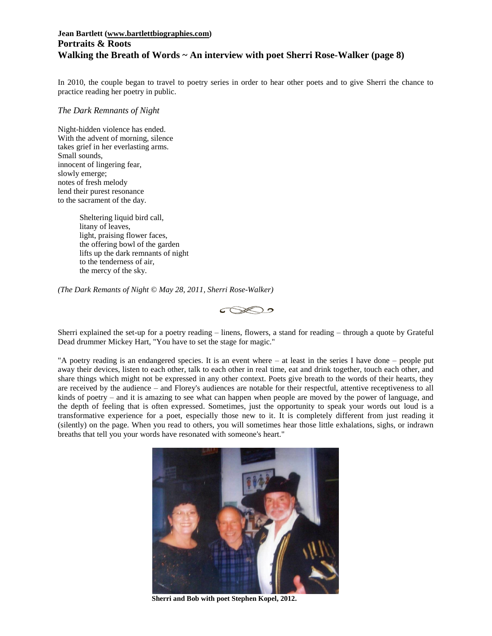### **Jean Bartlett [\(www.bartlettbiographies.com\)](http://www.bartlettbiographies.com/) Portraits & Roots Walking the Breath of Words ~ An interview with poet Sherri Rose-Walker (page 8)**

In 2010, the couple began to travel to poetry series in order to hear other poets and to give Sherri the chance to practice reading her poetry in public.

#### *The Dark Remnants of Night*

Night-hidden violence has ended. With the advent of morning, silence takes grief in her everlasting arms. Small sounds, innocent of lingering fear, slowly emerge; notes of fresh melody lend their purest resonance to the sacrament of the day.

> Sheltering liquid bird call, litany of leaves, light, praising flower faces, the offering bowl of the garden lifts up the dark remnants of night to the tenderness of air, the mercy of the sky.

*(The Dark Remants of Night © May 28, 2011, Sherri Rose-Walker)*



Sherri explained the set-up for a poetry reading – linens, flowers, a stand for reading – through a quote by Grateful Dead drummer Mickey Hart, "You have to set the stage for magic."

"A poetry reading is an endangered species. It is an event where – at least in the series I have done – people put away their devices, listen to each other, talk to each other in real time, eat and drink together, touch each other, and share things which might not be expressed in any other context. Poets give breath to the words of their hearts, they are received by the audience – and Florey's audiences are notable for their respectful, attentive receptiveness to all kinds of poetry – and it is amazing to see what can happen when people are moved by the power of language, and the depth of feeling that is often expressed. Sometimes, just the opportunity to speak your words out loud is a transformative experience for a poet, especially those new to it. It is completely different from just reading it (silently) on the page. When you read to others, you will sometimes hear those little exhalations, sighs, or indrawn breaths that tell you your words have resonated with someone's heart."



**Sherri and Bob with poet Stephen Kopel, 2012.**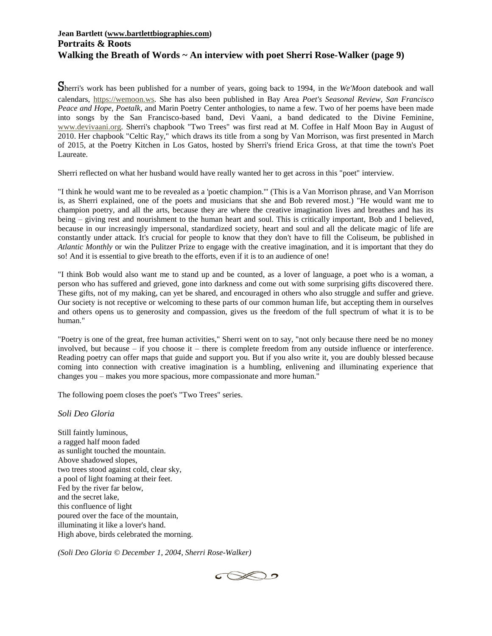### **Jean Bartlett [\(www.bartlettbiographies.com\)](http://www.bartlettbiographies.com/) Portraits & Roots Walking the Breath of Words ~ An interview with poet Sherri Rose-Walker (page 9)**

Sherri's work has been published for a number of years, going back to 1994, in the *We'Moon* datebook and wall calendars, [https://wemoon.ws.](https://wemoon.ws/) She has also been published in Bay Area *Poet's Seasonal Review*, *San Francisco Peace and Hope*, *Poetalk*, and Marin Poetry Center anthologies, to name a few. Two of her poems have been made into songs by the San Francisco-based band, Devi Vaani, a band dedicated to the Divine Feminine, [www.devivaani.org.](http://www.devivaani.org/) Sherri's chapbook "Two Trees" was first read at M. Coffee in Half Moon Bay in August of 2010. Her chapbook "Celtic Ray," which draws its title from a song by Van Morrison, was first presented in March of 2015, at the Poetry Kitchen in Los Gatos, hosted by Sherri's friend Erica Gross, at that time the town's Poet Laureate.

Sherri reflected on what her husband would have really wanted her to get across in this "poet" interview.

"I think he would want me to be revealed as a 'poetic champion.'" (This is a Van Morrison phrase, and Van Morrison is, as Sherri explained, one of the poets and musicians that she and Bob revered most.) "He would want me to champion poetry, and all the arts, because they are where the creative imagination lives and breathes and has its being – giving rest and nourishment to the human heart and soul. This is critically important, Bob and I believed, because in our increasingly impersonal, standardized society, heart and soul and all the delicate magic of life are constantly under attack. It's crucial for people to know that they don't have to fill the Coliseum, be published in *Atlantic Monthly* or win the Pulitzer Prize to engage with the creative imagination, and it is important that they do so! And it is essential to give breath to the efforts, even if it is to an audience of one!

"I think Bob would also want me to stand up and be counted, as a lover of language, a poet who is a woman, a person who has suffered and grieved, gone into darkness and come out with some surprising gifts discovered there. These gifts, not of my making, can yet be shared, and encouraged in others who also struggle and suffer and grieve. Our society is not receptive or welcoming to these parts of our common human life, but accepting them in ourselves and others opens us to generosity and compassion, gives us the freedom of the full spectrum of what it is to be human."

"Poetry is one of the great, free human activities," Sherri went on to say, "not only because there need be no money involved, but because – if you choose it – there is complete freedom from any outside influence or interference. Reading poetry can offer maps that guide and support you. But if you also write it, you are doubly blessed because coming into connection with creative imagination is a humbling, enlivening and illuminating experience that changes you – makes you more spacious, more compassionate and more human."

The following poem closes the poet's "Two Trees" series.

*Soli Deo Gloria*

Still faintly luminous, a ragged half moon faded as sunlight touched the mountain. Above shadowed slopes, two trees stood against cold, clear sky, a pool of light foaming at their feet. Fed by the river far below, and the secret lake, this confluence of light poured over the face of the mountain, illuminating it like a lover's hand. High above, birds celebrated the morning.

*(Soli Deo Gloria © December 1, 2004, Sherri Rose-Walker)*